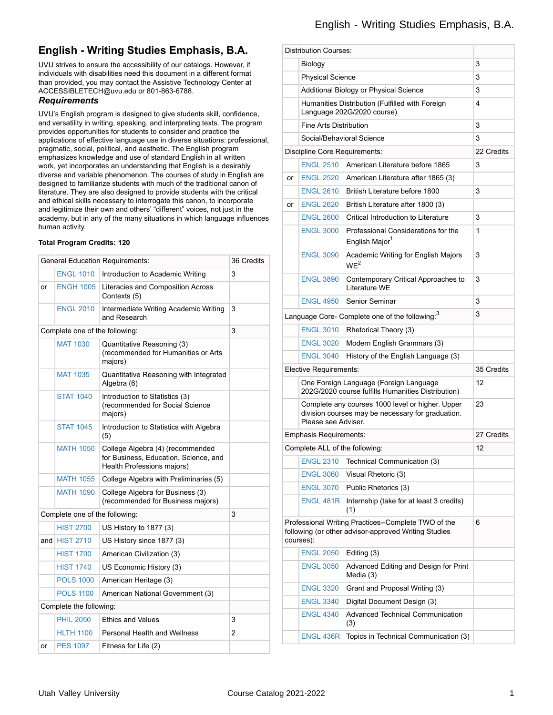## **English - Writing Studies Emphasis, B.A.**

UVU strives to ensure the accessibility of our catalogs. However, if individuals with disabilities need this document in a different format than provided, you may contact the Assistive Technology Center at ACCESSIBLETECH@uvu.edu or 801-863-6788.

### *Requirements*

UVU's English program is designed to give students skill, confidence, and versatility in writing, speaking, and interpreting texts. The program provides opportunities for students to consider and practice the applications of effective language use in diverse situations: professional, pragmatic, social, political, and aesthetic. The English program emphasizes knowledge and use of standard English in all written work, yet incorporates an understanding that English is a desirably diverse and variable phenomenon. The courses of study in English are designed to familiarize students with much of the traditional canon of literature. They are also designed to provide students with the critical and ethical skills necessary to interrogate this canon, to incorporate and legitimize their own and others' "different" voices, not just in the academy, but in any of the many situations in which language influences human activity.

#### **Total Program Credits: 120**

| <b>General Education Requirements:</b> |                                                                                                         |                                                                  |  |
|----------------------------------------|---------------------------------------------------------------------------------------------------------|------------------------------------------------------------------|--|
| <b>ENGL 1010</b>                       | Introduction to Academic Writing                                                                        | 3                                                                |  |
| <b>ENGH 1005</b>                       | Literacies and Composition Across<br>Contexts (5)                                                       |                                                                  |  |
| <b>ENGL 2010</b>                       | Intermediate Writing Academic Writing<br>and Research                                                   | 3                                                                |  |
|                                        |                                                                                                         | 3                                                                |  |
| <b>MAT 1030</b>                        | Quantitative Reasoning (3)<br>(recommended for Humanities or Arts<br>majors)                            |                                                                  |  |
| <b>MAT 1035</b>                        | Quantitative Reasoning with Integrated<br>Algebra (6)                                                   |                                                                  |  |
| <b>STAT 1040</b>                       | Introduction to Statistics (3)<br>(recommended for Social Science<br>majors)                            |                                                                  |  |
| <b>STAT 1045</b>                       | Introduction to Statistics with Algebra<br>(5)                                                          |                                                                  |  |
| <b>MATH 1050</b>                       | College Algebra (4) (recommended<br>for Business, Education, Science, and<br>Health Professions majors) |                                                                  |  |
| <b>MATH 1055</b>                       | College Algebra with Preliminaries (5)                                                                  |                                                                  |  |
| <b>MATH 1090</b>                       | College Algebra for Business (3)<br>(recommended for Business majors)                                   |                                                                  |  |
|                                        |                                                                                                         | 3                                                                |  |
| <b>HIST 2700</b>                       | US History to 1877 (3)                                                                                  |                                                                  |  |
| and $HIST 2710$                        | US History since 1877 (3)                                                                               |                                                                  |  |
| <b>HIST 1700</b>                       | American Civilization (3)                                                                               |                                                                  |  |
| <b>HIST 1740</b>                       | US Economic History (3)                                                                                 |                                                                  |  |
| <b>POLS 1000</b>                       | American Heritage (3)                                                                                   |                                                                  |  |
| <b>POLS 1100</b>                       | American National Government (3)                                                                        |                                                                  |  |
| Complete the following:                |                                                                                                         |                                                                  |  |
| <b>PHIL 2050</b>                       | <b>Ethics and Values</b>                                                                                | 3                                                                |  |
| <b>HLTH 1100</b>                       | <b>Personal Health and Wellness</b>                                                                     | $\overline{2}$                                                   |  |
| <b>PES 1097</b>                        | Fitness for Life (2)                                                                                    |                                                                  |  |
|                                        |                                                                                                         | Complete one of the following:<br>Complete one of the following: |  |

|                                                                                              | <b>Distribution Courses:</b>                                                                                                 |                                                                               |            |
|----------------------------------------------------------------------------------------------|------------------------------------------------------------------------------------------------------------------------------|-------------------------------------------------------------------------------|------------|
|                                                                                              |                                                                                                                              |                                                                               | 3          |
|                                                                                              | Biology<br><b>Physical Science</b>                                                                                           |                                                                               | 3          |
|                                                                                              |                                                                                                                              | 3                                                                             |            |
|                                                                                              | Additional Biology or Physical Science                                                                                       |                                                                               |            |
|                                                                                              |                                                                                                                              | Humanities Distribution (Fulfilled with Foreign<br>Language 202G/2020 course) | 4          |
|                                                                                              | <b>Fine Arts Distribution</b>                                                                                                |                                                                               | 3          |
|                                                                                              | Social/Behavioral Science                                                                                                    |                                                                               | 3          |
|                                                                                              | Discipline Core Requirements:                                                                                                |                                                                               | 22 Credits |
|                                                                                              | <b>ENGL 2510</b>                                                                                                             | American Literature before 1865                                               | 3          |
| or                                                                                           | <b>ENGL 2520</b>                                                                                                             | American Literature after 1865 (3)                                            |            |
|                                                                                              | <b>ENGL 2610</b>                                                                                                             | British Literature before 1800                                                | 3          |
| or                                                                                           | <b>ENGL 2620</b>                                                                                                             | British Literature after 1800 (3)                                             |            |
|                                                                                              | <b>ENGL 2600</b>                                                                                                             | Critical Introduction to Literature                                           | 3          |
|                                                                                              | <b>ENGL 3000</b>                                                                                                             | Professional Considerations for the<br>English Major <sup>1</sup>             | 1          |
|                                                                                              | <b>ENGL 3090</b>                                                                                                             | Academic Writing for English Majors<br>WE <sup>2</sup>                        | 3          |
|                                                                                              | <b>ENGL 3890</b>                                                                                                             | Contemporary Critical Approaches to<br>Literature WE                          | 3          |
|                                                                                              | <b>ENGL 4950</b>                                                                                                             | Senior Seminar                                                                | 3          |
| Language Core- Complete one of the following: <sup>3</sup>                                   |                                                                                                                              |                                                                               | 3          |
|                                                                                              | <b>ENGL 3010</b>                                                                                                             | Rhetorical Theory (3)                                                         |            |
|                                                                                              | <b>ENGL 3020</b>                                                                                                             | Modern English Grammars (3)                                                   |            |
|                                                                                              | <b>ENGL 3040</b>                                                                                                             | History of the English Language (3)                                           |            |
|                                                                                              | Elective Requirements:                                                                                                       |                                                                               | 35 Credits |
| One Foreign Language (Foreign Language<br>202G/2020 course fulfills Humanities Distribution) |                                                                                                                              | 12                                                                            |            |
|                                                                                              | Complete any courses 1000 level or higher. Upper<br>division courses may be necessary for graduation.<br>Please see Adviser. |                                                                               | 23         |
|                                                                                              | <b>Emphasis Requirements:</b>                                                                                                |                                                                               | 27 Credits |
|                                                                                              | Complete ALL of the following:                                                                                               |                                                                               | 12         |
|                                                                                              | <b>ENGL 2310</b>                                                                                                             | Technical Communication (3)                                                   |            |
|                                                                                              | <b>ENGL 3060</b>                                                                                                             | Visual Rhetoric (3)                                                           |            |
|                                                                                              | <b>ENGL 3070</b>                                                                                                             | Public Rhetorics (3)                                                          |            |
|                                                                                              | <b>ENGL 481R</b>                                                                                                             | Internship (take for at least 3 credits)<br>(1)                               |            |
|                                                                                              | Professional Writing Practices--Complete TWO of the<br>following (or other advisor-approved Writing Studies<br>courses):     |                                                                               | 6          |
|                                                                                              | <b>ENGL 2050</b>                                                                                                             | Editing (3)                                                                   |            |
|                                                                                              | <b>ENGL 3050</b>                                                                                                             | Advanced Editing and Design for Print<br>Media (3)                            |            |
|                                                                                              | <b>ENGL 3320</b>                                                                                                             | Grant and Proposal Writing (3)                                                |            |
|                                                                                              | <b>ENGL 3340</b>                                                                                                             | Digital Document Design (3)                                                   |            |
|                                                                                              | <b>ENGL 4340</b>                                                                                                             | Advanced Technical Communication<br>(3)                                       |            |
|                                                                                              | <b>ENGL 436R</b>                                                                                                             | Topics in Technical Communication (3)                                         |            |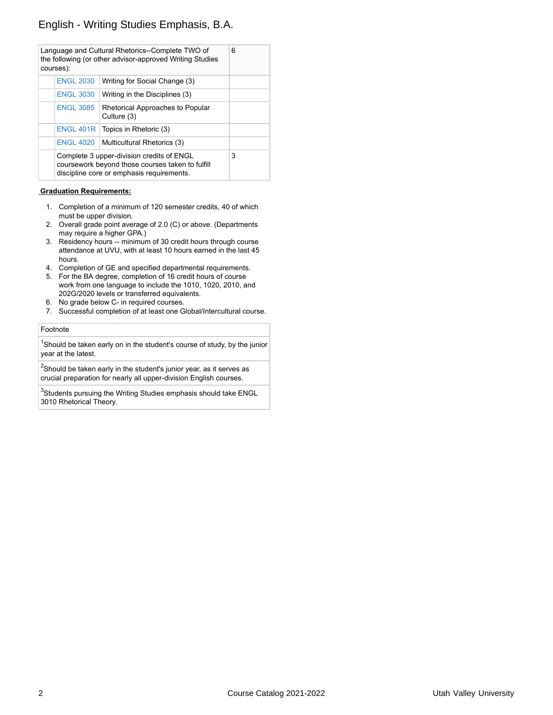## English - Writing Studies Emphasis, B.A.

|                                                                                                                                            | courses):        | Language and Cultural Rhetorics--Complete TWO of<br>the following (or other advisor-approved Writing Studies | 6 |
|--------------------------------------------------------------------------------------------------------------------------------------------|------------------|--------------------------------------------------------------------------------------------------------------|---|
|                                                                                                                                            | <b>ENGL 2030</b> | Writing for Social Change (3)                                                                                |   |
|                                                                                                                                            | <b>ENGL 3030</b> | Writing in the Disciplines (3)                                                                               |   |
|                                                                                                                                            | <b>ENGL 3085</b> | Rhetorical Approaches to Popular<br>Culture (3)                                                              |   |
|                                                                                                                                            |                  | ENGL $401R$ Topics in Rhetoric (3)                                                                           |   |
|                                                                                                                                            |                  | ENGL 4020   Multicultural Rhetorics (3)                                                                      |   |
| Complete 3 upper-division credits of ENGL<br>coursework beyond those courses taken to fulfill<br>discipline core or emphasis requirements. |                  | 3                                                                                                            |   |

#### **Graduation Requirements:**

- 1. Completion of a minimum of 120 semester credits, 40 of which must be upper division.
- 2. Overall grade point average of 2.0 (C) or above. (Departments may require a higher GPA.)
- 3. Residency hours -- minimum of 30 credit hours through course attendance at UVU, with at least 10 hours earned in the last 45 hours.
- 4. Completion of GE and specified departmental requirements.
- 5. For the BA degree, completion of 16 credit hours of course work from one language to include the 1010, 1020, 2010, and 202G/2020 levels or transferred equivalents.
- 6. No grade below C- in required courses.
- 7. Successful completion of at least one Global/Intercultural course.

#### Footnote

 $^{\text{1}}$ Should be taken early on in the student's course of study, by the junior year at the latest.

 $^2$ Should be taken early in the student's junior year, as it serves as crucial preparation for nearly all upper-division English courses.

 $^3$ Students pursuing the Writing Studies emphasis should take ENGL 3010 Rhetorical Theory.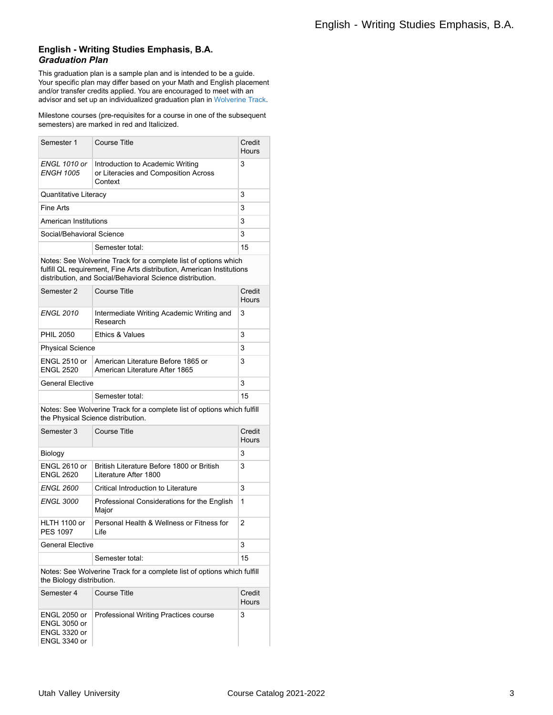### **English - Writing Studies Emphasis, B.A.** *Graduation Plan*

This graduation plan is a sample plan and is intended to be a guide. Your specific plan may differ based on your Math and English placement and/or transfer credits applied. You are encouraged to meet with an advisor and set up an individualized graduation plan in [Wolverine](http://www.uvu.edu/wolverinetrack/index.html) Track.

Milestone courses (pre-requisites for a course in one of the subsequent semesters) are marked in red and Italicized.

| Semester 1                       | Course Title                                                                        | Credit<br>Hours |
|----------------------------------|-------------------------------------------------------------------------------------|-----------------|
| ENGL 1010 or<br><b>ENGH 1005</b> | Introduction to Academic Writing<br>or Literacies and Composition Across<br>Context | 3               |
| <b>Quantitative Literacy</b>     |                                                                                     | 3               |
| Fine Arts                        |                                                                                     | 3               |
| American Institutions            |                                                                                     | 3               |
| Social/Behavioral Science        |                                                                                     | 3               |
|                                  | Semester total:                                                                     | 15              |

Notes: See Wolverine Track for a complete list of options which fulfill QL requirement, Fine Arts distribution, American Institutions distribution, and Social/Behavioral Science distribution.

| Semester 2                              | Course Title                                                         | Credit<br>Hours |
|-----------------------------------------|----------------------------------------------------------------------|-----------------|
| <b>ENGL 2010</b>                        | Intermediate Writing Academic Writing and<br>Research                | 3               |
| <b>PHIL 2050</b>                        | <b>Ethics &amp; Values</b>                                           | 3               |
| <b>Physical Science</b>                 |                                                                      | 3               |
| <b>ENGL 2510 or</b><br><b>ENGL 2520</b> | American Literature Before 1865 or<br>American Literature After 1865 | 3               |
| <b>General Elective</b>                 |                                                                      | 3               |
|                                         | Semester total:                                                      | 15              |

Notes: See Wolverine Track for a complete list of options which fulfill the Physical Science distribution.

| Semester 3                                                                                           | Course Title                                                        | Credit<br>Hours        |  |
|------------------------------------------------------------------------------------------------------|---------------------------------------------------------------------|------------------------|--|
| Biology                                                                                              |                                                                     | 3                      |  |
| <b>FNGL 2610 or</b><br><b>ENGL 2620</b>                                                              | British I iterature Before 1800 or British<br>Literature After 1800 | 3                      |  |
| <b>ENGL 2600</b>                                                                                     | Critical Introduction to Literature                                 | 3                      |  |
| <b>ENGL 3000</b>                                                                                     | Professional Considerations for the English<br>Major                | 1                      |  |
| HI TH 1100 or<br><b>PFS 1097</b>                                                                     | Personal Health & Wellness or Fitness for<br>I ife                  | 2                      |  |
| <b>General Elective</b>                                                                              |                                                                     | 3                      |  |
|                                                                                                      | Semester total:                                                     | 15                     |  |
| Notes: See Wolverine Track for a complete list of options which fulfill<br>the Biology distribution. |                                                                     |                        |  |
| Semester 4                                                                                           | Course Title                                                        | Credit<br><b>Hours</b> |  |
| <b>ENGL 2050 or</b><br><b>ENGL 3050 or</b><br><b>ENGL 3320 or</b>                                    | Professional Writing Practices course                               | 3                      |  |

ENGL 3340 or